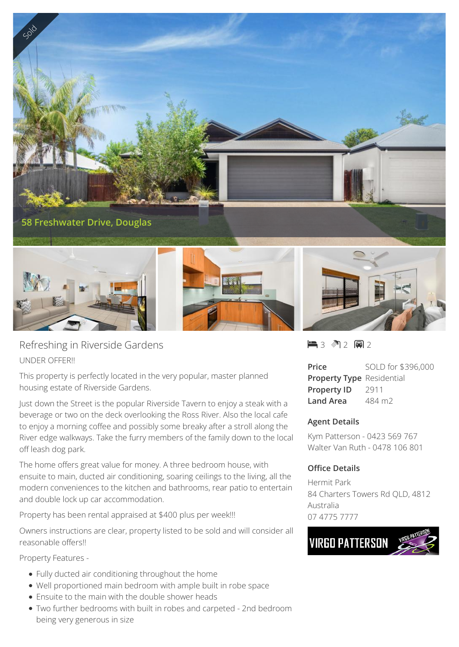

Refreshing in Riverside Gardens UNDER OFFER!!

This property is perfectly located in the very popular, master planned housing estate of Riverside Gardens.

Just down the Street is the popular Riverside Tavern to enjoy a steak with a beverage or two on the deck overlooking the Ross River. Also the local cafe to enjoy a morning coffee and possibly some breaky after a stroll along the River edge walkways. Take the furry members of the family down to the local off leash dog park.

The home offers great value for money. A three bedroom house, with ensuite to main, ducted air conditioning, soaring ceilings to the living, all the modern conveniences to the kitchen and bathrooms, rear patio to entertain and double lock up car accommodation.

Property has been rental appraised at \$400 plus per week!!!

Owners instructions are clear, property listed to be sold and will consider all reasonable offers!!

Property Features -

- Fully ducted air conditioning throughout the home
- Well proportioned main bedroom with ample built in robe space
- Ensuite to the main with the double shower heads
- Two further bedrooms with built in robes and carpeted 2nd bedroom being very generous in size

 $-3$   $2$   $-2$   $-2$ 

**Price** SOLD for \$396,000 **Property Type** Residential **Property ID** 2911 **Land Area** 484 m2

## **Agent Details**

Kym Patterson - 0423 569 767 Walter Van Ruth - 0478 106 801

## **Office Details**

Hermit Park 84 Charters Towers Rd QLD, 4812 Australia 07 4775 7777